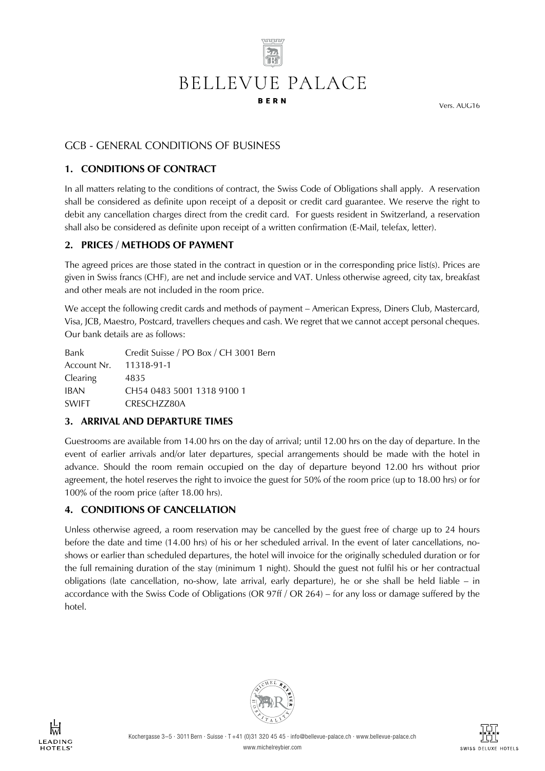

Vers. AUG16

# GCB - GENERAL CONDITIONS OF BUSINESS

## **1. CONDITIONS OF CONTRACT**

In all matters relating to the conditions of contract, the Swiss Code of Obligations shall apply. A reservation shall be considered as definite upon receipt of a deposit or credit card guarantee. We reserve the right to debit any cancellation charges direct from the credit card. For guests resident in Switzerland, a reservation shall also be considered as definite upon receipt of a written confirmation (E-Mail, telefax, letter).

#### **2. PRICES / METHODS OF PAYMENT**

The agreed prices are those stated in the contract in question or in the corresponding price list(s). Prices are given in Swiss francs (CHF), are net and include service and VAT. Unless otherwise agreed, city tax, breakfast and other meals are not included in the room price.

We accept the following credit cards and methods of payment – American Express, Diners Club, Mastercard, Visa, JCB, Maestro, Postcard, travellers cheques and cash. We regret that we cannot accept personal cheques. Our bank details are as follows:

| Bank                   | Credit Suisse / PO Box / CH 3001 Bern |
|------------------------|---------------------------------------|
| Account Nr. 11318-91-1 |                                       |
| Clearing               | 4835                                  |
| <b>IBAN</b>            | CH54 0483 5001 1318 9100 1            |
| <b>SWIFT</b>           | CRESCH7780A                           |

#### **3. ARRIVAL AND DEPARTURE TIMES**

Guestrooms are available from 14.00 hrs on the day of arrival; until 12.00 hrs on the day of departure. In the event of earlier arrivals and/or later departures, special arrangements should be made with the hotel in advance. Should the room remain occupied on the day of departure beyond 12.00 hrs without prior agreement, the hotel reserves the right to invoice the guest for 50% of the room price (up to 18.00 hrs) or for 100% of the room price (after 18.00 hrs).

## **4. CONDITIONS OF CANCELLATION**

Unless otherwise agreed, a room reservation may be cancelled by the guest free of charge up to 24 hours before the date and time (14.00 hrs) of his or her scheduled arrival. In the event of later cancellations, noshows or earlier than scheduled departures, the hotel will invoice for the originally scheduled duration or for the full remaining duration of the stay (minimum 1 night). Should the guest not fulfil his or her contractual obligations (late cancellation, no-show, late arrival, early departure), he or she shall be held liable – in accordance with the Swiss Code of Obligations (OR 97ff / OR 264) – for any loss or damage suffered by the hotel.